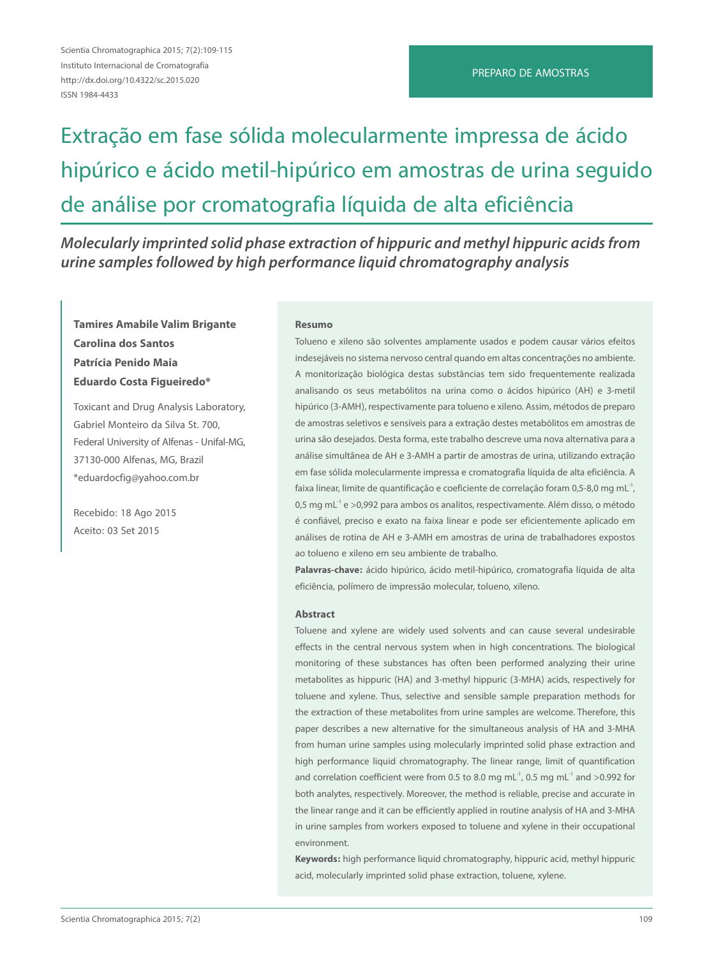# Extração em fase sólida molecularmente impressa de ácido hipúrico e ácido metil-hipúrico em amostras de urina seguido de análise por cromatografia líquida de alta eficiência

*Molecularly imprinted solid phase extraction of hippuric and methyl hippuric acids from urine samples followed by high performance liquid chromatography analysis*

# **Tamires Amabile Valim Brigante Carolina dos Santos Patrícia Penido Maia Eduardo Costa Figueiredo\***

Toxicant and Drug Analysis Laboratory, Gabriel Monteiro da Silva St. 700, Federal University of Alfenas - Unifal-MG, 37130-000 Alfenas, MG, Brazil \*eduardocfig@yahoo.com.br

Recebido: 18 Ago 2015 Aceito: 03 Set 2015

#### **Resumo**

Tolueno e xileno são solventes amplamente usados e podem causar vários efeitos indesejáveis no sistema nervoso central quando em altas concentrações no ambiente. A monitorização biológica destas substâncias tem sido frequentemente realizada analisando os seus metabólitos na urina como o ácidos hipúrico (AH) e 3-metil hipúrico (3-AMH), respectivamente para tolueno e xileno. Assim, métodos de preparo de amostras seletivos e sensíveis para a extração destes metabólitos em amostras de urina são desejados. Desta forma, este trabalho descreve uma nova alternativa para a análise simultânea de AH e 3-AMH a partir de amostras de urina, utilizando extração em fase sólida molecularmente impressa e cromatografia líquida de alta eficiência. A faixa linear, limite de quantificação e coeficiente de correlação foram 0,5-8,0 mg mL<sup>-1</sup>, 0,5 mg m $L^1$  e >0,992 para ambos os analitos, respectivamente. Além disso, o método é confiável, preciso e exato na faixa linear e pode ser eficientemente aplicado em análises de rotina de AH e 3-AMH em amostras de urina de trabalhadores expostos ao tolueno e xileno em seu ambiente de trabalho.

**Palavras-chave:** ácido hipúrico, ácido metil-hipúrico, cromatografia líquida de alta eficiência, polímero de impressão molecular, tolueno, xileno.

#### **Abstract**

Toluene and xylene are widely used solvents and can cause several undesirable effects in the central nervous system when in high concentrations. The biological monitoring of these substances has often been performed analyzing their urine metabolites as hippuric (HA) and 3-methyl hippuric (3-MHA) acids, respectively for toluene and xylene. Thus, selective and sensible sample preparation methods for the extraction of these metabolites from urine samples are welcome. Therefore, this paper describes a new alternative for the simultaneous analysis of HA and 3-MHA from human urine samples using molecularly imprinted solid phase extraction and high performance liquid chromatography. The linear range, limit of quantification and correlation coefficient were from 0.5 to 8.0 mg mL<sup>-1</sup>, 0.5 mg mL<sup>-1</sup> and >0.992 for both analytes, respectively. Moreover, the method is reliable, precise and accurate in the linear range and it can be efficiently applied in routine analysis of HA and 3-MHA in urine samples from workers exposed to toluene and xylene in their occupational environment.

**Keywords:** high performance liquid chromatography, hippuric acid, methyl hippuric acid, molecularly imprinted solid phase extraction, toluene, xylene.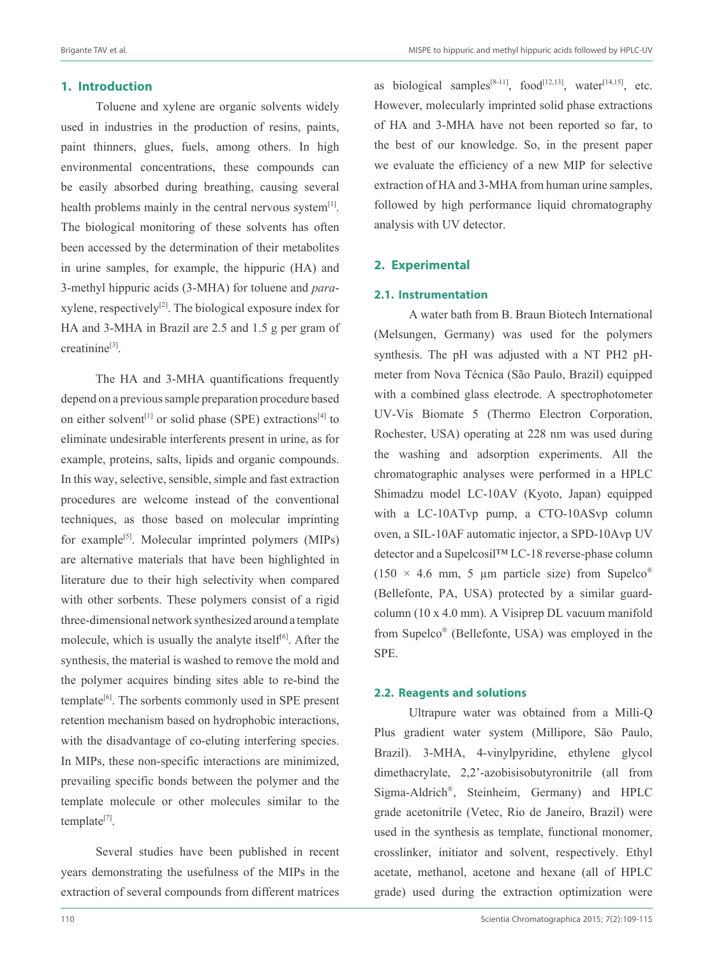as biological samples<sup>[8-11]</sup>, food<sup>[12,13]</sup>, water<sup>[14,15]</sup>, etc. However, molecularly imprinted solid phase extractions of HA and 3-MHA have not been reported so far, to the best of our knowledge. So, in the present paper we evaluate the efficiency of a new MIP for selective extraction of HA and 3-MHA from human urine samples, followed by high performance liquid chromatography

## **1. Introduction**

Toluene and xylene are organic solvents widely used in industries in the production of resins, paints, paint thinners, glues, fuels, among others. In high environmental concentrations, these compounds can be easily absorbed during breathing, causing several health problems mainly in the central nervous system $[1]$ . The biological monitoring of these solvents has often been accessed by the determination of their metabolites in urine samples, for example, the hippuric (HA) and 3-methyl hippuric acids (3-MHA) for toluene and *para*xylene, respectively<sup>[2]</sup>. The biological exposure index for HA and 3-MHA in Brazil are 2.5 and 1.5 g per gram of creatinine<sup>[3]</sup>.

The HA and 3-MHA quantifications frequently depend on a previous sample preparation procedure based on either solvent<sup>[1]</sup> or solid phase (SPE) extractions<sup>[4]</sup> to eliminate undesirable interferents present in urine, as for example, proteins, salts, lipids and organic compounds. In this way, selective, sensible, simple and fast extraction procedures are welcome instead of the conventional techniques, as those based on molecular imprinting for example<sup>[5]</sup>. Molecular imprinted polymers (MIPs) are alternative materials that have been highlighted in literature due to their high selectivity when compared with other sorbents. These polymers consist of a rigid three-dimensional network synthesized around a template molecule, which is usually the analyte itself $[6]$ . After the synthesis, the material is washed to remove the mold and the polymer acquires binding sites able to re-bind the template<sup>[6]</sup>. The sorbents commonly used in SPE present retention mechanism based on hydrophobic interactions, with the disadvantage of co-eluting interfering species. In MIPs, these non-specific interactions are minimized, prevailing specific bonds between the polymer and the template molecule or other molecules similar to the  $template^{[7]}$ .

Several studies have been published in recent years demonstrating the usefulness of the MIPs in the extraction of several compounds from different matrices

**2.1. Instrumentation** A water bath from B. Braun Biotech International (Melsungen, Germany) was used for the polymers synthesis. The pH was adjusted with a NT PH2 pH-

analysis with UV detector.

**2. Experimental**

meter from Nova Técnica (São Paulo, Brazil) equipped with a combined glass electrode. A spectrophotometer UV-Vis Biomate 5 (Thermo Electron Corporation, Rochester, USA) operating at 228 nm was used during the washing and adsorption experiments. All the chromatographic analyses were performed in a HPLC Shimadzu model LC-10AV (Kyoto, Japan) equipped with a LC-10ATvp pump, a CTO-10ASvp column oven, a SIL-10AF automatic injector, a SPD-10Avp UV detector and a Supelcosil™ LC-18 reverse-phase column (150  $\times$  4.6 mm, 5 µm particle size) from Supelco<sup>®</sup> (Bellefonte, PA, USA) protected by a similar guardcolumn (10 x 4.0 mm). A Visiprep DL vacuum manifold from Supelco® (Bellefonte, USA) was employed in the SPE.

#### **2.2. Reagents and solutions**

Ultrapure water was obtained from a Milli-Q Plus gradient water system (Millipore, São Paulo, Brazil). 3-MHA, 4-vinylpyridine, ethylene glycol dimethacrylate, 2,2'-azobisisobutyronitrile (all from Sigma-Aldrich®, Steinheim, Germany) and HPLC grade acetonitrile (Vetec, Rio de Janeiro, Brazil) were used in the synthesis as template, functional monomer, crosslinker, initiator and solvent, respectively. Ethyl acetate, methanol, acetone and hexane (all of HPLC grade) used during the extraction optimization were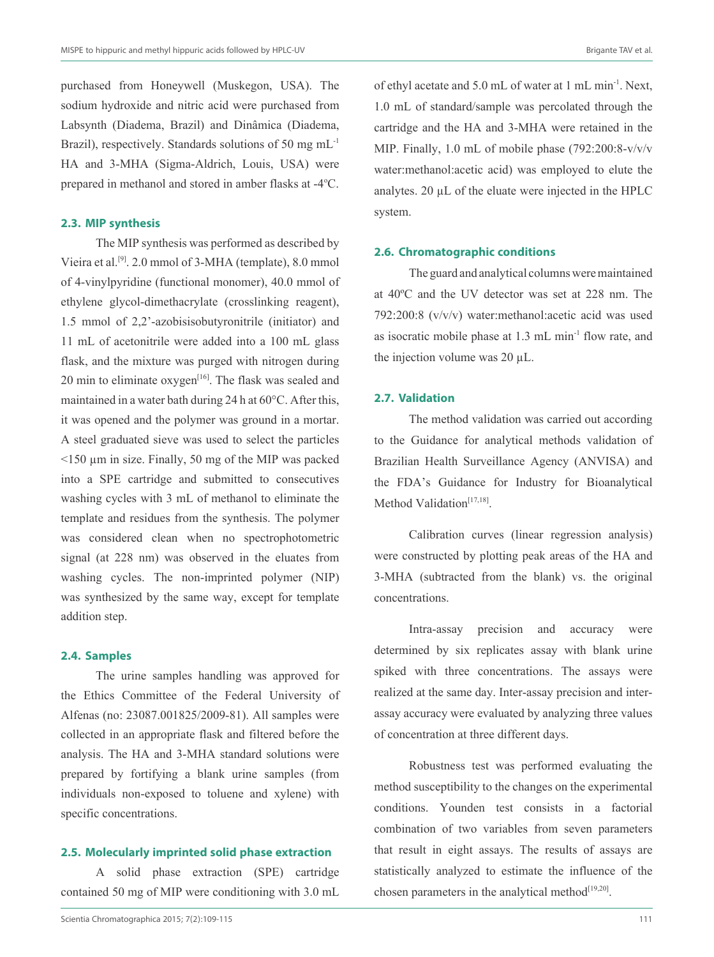purchased from Honeywell (Muskegon, USA). The sodium hydroxide and nitric acid were purchased from Labsynth (Diadema, Brazil) and Dinâmica (Diadema, Brazil), respectively. Standards solutions of 50 mg m $L<sup>-1</sup>$ HA and 3-MHA (Sigma-Aldrich, Louis, USA) were prepared in methanol and stored in amber flasks at -4°C.

# **2.3. MIP synthesis**

The MIP synthesis was performed as described by Vieira et al.[9]. 2.0 mmol of 3-MHA (template), 8.0 mmol of 4-vinylpyridine (functional monomer), 40.0 mmol of ethylene glycol-dimethacrylate (crosslinking reagent), 1.5 mmol of 2,2'-azobisisobutyronitrile (initiator) and 11 mL of acetonitrile were added into a 100 mL glass flask, and the mixture was purged with nitrogen during 20 min to eliminate  $oxygen^{[16]}$ . The flask was sealed and maintained in a water bath during 24 h at 60°C. After this, it was opened and the polymer was ground in a mortar. A steel graduated sieve was used to select the particles <150 µm in size. Finally, 50 mg of the MIP was packed into a SPE cartridge and submitted to consecutives washing cycles with 3 mL of methanol to eliminate the template and residues from the synthesis. The polymer was considered clean when no spectrophotometric signal (at 228 nm) was observed in the eluates from washing cycles. The non-imprinted polymer (NIP) was synthesized by the same way, except for template addition step.

### **2.4. Samples**

The urine samples handling was approved for the Ethics Committee of the Federal University of Alfenas (no: 23087.001825/2009-81). All samples were collected in an appropriate flask and filtered before the analysis. The HA and 3-MHA standard solutions were prepared by fortifying a blank urine samples (from individuals non-exposed to toluene and xylene) with specific concentrations.

#### **2.5. Molecularly imprinted solid phase extraction**

A solid phase extraction (SPE) cartridge contained 50 mg of MIP were conditioning with 3.0 mL

Scientia Chromatographica 2015; 7(2):109-115 111

of ethyl acetate and 5.0 mL of water at 1 mL min-1. Next, 1.0 mL of standard/sample was percolated through the cartridge and the HA and 3-MHA were retained in the MIP. Finally, 1.0 mL of mobile phase (792:200:8-v/v/v water:methanol:acetic acid) was employed to elute the analytes. 20 µL of the eluate were injected in the HPLC system.

#### **2.6. Chromatographic conditions**

The guard and analytical columns were maintained at 40ºC and the UV detector was set at 228 nm. The 792:200:8 (v/v/v) water:methanol:acetic acid was used as isocratic mobile phase at  $1.3 \text{ mL min}^{-1}$  flow rate, and the injection volume was 20 µL.

## **2.7. Validation**

The method validation was carried out according to the Guidance for analytical methods validation of Brazilian Health Surveillance Agency (ANVISA) and the FDA's Guidance for Industry for Bioanalytical Method Validation $[17,18]$ .

Calibration curves (linear regression analysis) were constructed by plotting peak areas of the HA and 3-MHA (subtracted from the blank) vs. the original concentrations.

Intra-assay precision and accuracy were determined by six replicates assay with blank urine spiked with three concentrations. The assays were realized at the same day. Inter-assay precision and interassay accuracy were evaluated by analyzing three values of concentration at three different days.

Robustness test was performed evaluating the method susceptibility to the changes on the experimental conditions. Younden test consists in a factorial combination of two variables from seven parameters that result in eight assays. The results of assays are statistically analyzed to estimate the influence of the chosen parameters in the analytical method $[19,20]$ .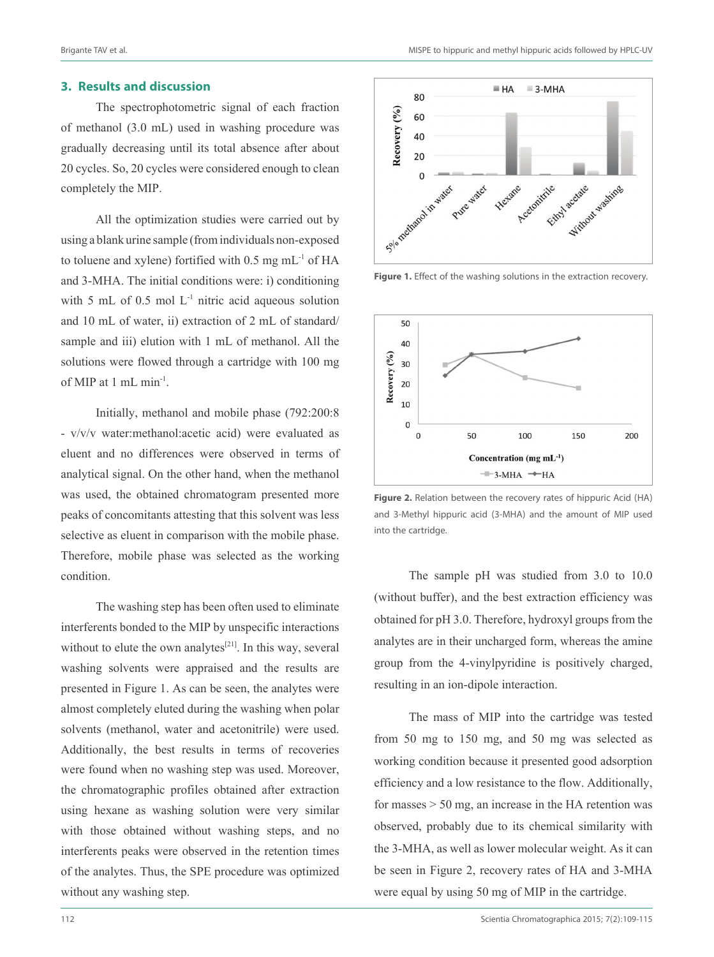#### **3. Results and discussion**

The spectrophotometric signal of each fraction of methanol (3.0 mL) used in washing procedure was gradually decreasing until its total absence after about 20 cycles. So, 20 cycles were considered enough to clean completely the MIP.

All the optimization studies were carried out by using a blank urine sample (from individuals non-exposed to toluene and xylene) fortified with  $0.5$  mg mL $^{-1}$  of HA and 3-MHA. The initial conditions were: i) conditioning with 5 mL of 0.5 mol  $L<sup>-1</sup>$  nitric acid aqueous solution and 10 mL of water, ii) extraction of 2 mL of standard/ sample and iii) elution with 1 mL of methanol. All the solutions were flowed through a cartridge with 100 mg of MIP at 1 mL min-1.

Initially, methanol and mobile phase (792:200:8 - v/v/v water:methanol:acetic acid) were evaluated as eluent and no differences were observed in terms of analytical signal. On the other hand, when the methanol was used, the obtained chromatogram presented more peaks of concomitants attesting that this solvent was less selective as eluent in comparison with the mobile phase. Therefore, mobile phase was selected as the working condition.

The washing step has been often used to eliminate interferents bonded to the MIP by unspecific interactions without to elute the own analytes<sup>[21]</sup>. In this way, several washing solvents were appraised and the results are presented in Figure 1. As can be seen, the analytes were almost completely eluted during the washing when polar solvents (methanol, water and acetonitrile) were used. Additionally, the best results in terms of recoveries were found when no washing step was used. Moreover, the chromatographic profiles obtained after extraction using hexane as washing solution were very similar with those obtained without washing steps, and no interferents peaks were observed in the retention times of the analytes. Thus, the SPE procedure was optimized without any washing step.



**Figure 1.** Effect of the washing solutions in the extraction recovery.



**Figure 2.** Relation between the recovery rates of hippuric Acid (HA) and 3-Methyl hippuric acid (3-MHA) and the amount of MIP used into the cartridge.

The sample pH was studied from 3.0 to 10.0 (without buffer), and the best extraction efficiency was obtained for pH 3.0. Therefore, hydroxyl groups from the analytes are in their uncharged form, whereas the amine group from the 4-vinylpyridine is positively charged, resulting in an ion-dipole interaction.

The mass of MIP into the cartridge was tested from 50 mg to 150 mg, and 50 mg was selected as working condition because it presented good adsorption efficiency and a low resistance to the flow. Additionally, for masses  $> 50$  mg, an increase in the HA retention was observed, probably due to its chemical similarity with the 3-MHA, as well as lower molecular weight. As it can be seen in Figure 2, recovery rates of HA and 3-MHA were equal by using 50 mg of MIP in the cartridge.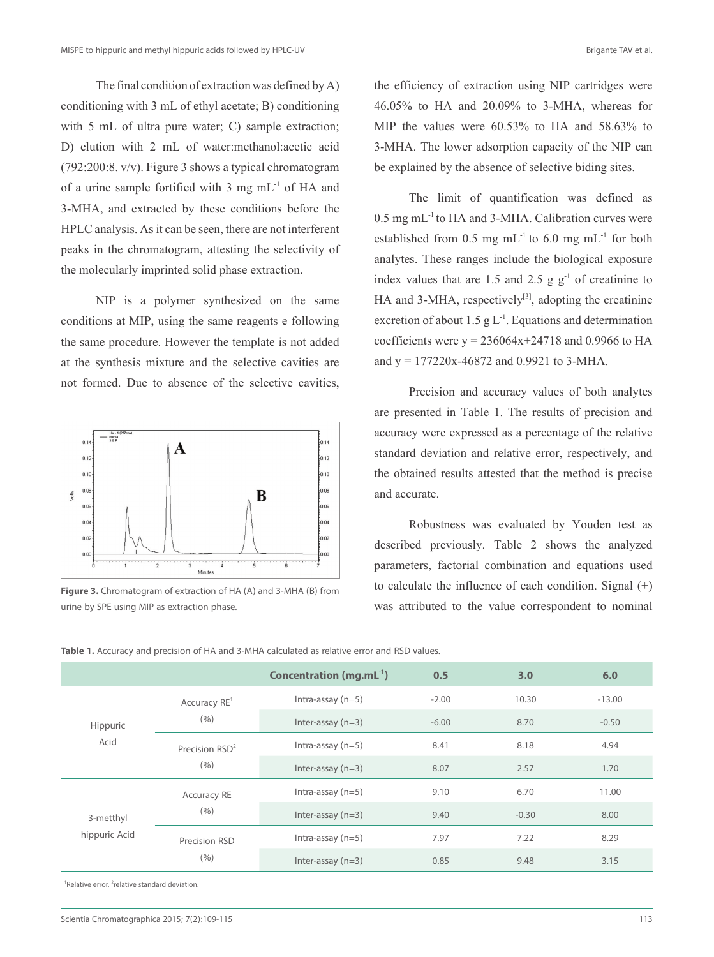The final condition of extraction was defined by A) conditioning with 3 mL of ethyl acetate; B) conditioning with 5 mL of ultra pure water; C) sample extraction; D) elution with 2 mL of water:methanol:acetic acid (792:200:8. v/v). Figure 3 shows a typical chromatogram of a urine sample fortified with 3 mg mL-1 of HA and 3-MHA, and extracted by these conditions before the HPLC analysis. As it can be seen, there are not interferent peaks in the chromatogram, attesting the selectivity of the molecularly imprinted solid phase extraction.

NIP is a polymer synthesized on the same conditions at MIP, using the same reagents e following the same procedure. However the template is not added at the synthesis mixture and the selective cavities are not formed. Due to absence of the selective cavities,



**Figure 3.** Chromatogram of extraction of HA (A) and 3-MHA (B) from urine by SPE using MIP as extraction phase.

the efficiency of extraction using NIP cartridges were 46.05% to HA and 20.09% to 3-MHA, whereas for MIP the values were 60.53% to HA and 58.63% to 3-MHA. The lower adsorption capacity of the NIP can be explained by the absence of selective biding sites.

The limit of quantification was defined as  $0.5$  mg mL $^{-1}$  to HA and 3-MHA. Calibration curves were established from 0.5 mg  $mL^{-1}$  to 6.0 mg  $mL^{-1}$  for both analytes. These ranges include the biological exposure index values that are 1.5 and 2.5 g  $g^{-1}$  of creatinine to HA and 3-MHA, respectively $[3]$ , adopting the creatinine excretion of about 1.5 g  $L^{-1}$ . Equations and determination coefficients were  $y = 236064x + 24718$  and 0.9966 to HA and  $y = 177220x - 46872$  and 0.9921 to 3-MHA.

Precision and accuracy values of both analytes are presented in Table 1. The results of precision and accuracy were expressed as a percentage of the relative standard deviation and relative error, respectively, and the obtained results attested that the method is precise and accurate.

Robustness was evaluated by Youden test as described previously. Table 2 shows the analyzed parameters, factorial combination and equations used to calculate the influence of each condition. Signal (+) was attributed to the value correspondent to nominal

|  | Table 1. Accuracy and precision of HA and 3-MHA calculated as relative error and RSD values. |  |  |  |  |  |  |  |  |  |  |  |  |
|--|----------------------------------------------------------------------------------------------|--|--|--|--|--|--|--|--|--|--|--|--|
|--|----------------------------------------------------------------------------------------------|--|--|--|--|--|--|--|--|--|--|--|--|

|               |                            | Concentration $(mg.mL^{-1})$ | 0.5     | 3.0     | 6.0      |
|---------------|----------------------------|------------------------------|---------|---------|----------|
|               | Accuracy RE <sup>1</sup>   | Intra-assay $(n=5)$          | $-2.00$ | 10.30   | $-13.00$ |
| Hippuric      | (9/6)                      | Inter-assay $(n=3)$          | $-6.00$ | 8.70    | $-0.50$  |
| Acid          | Precision RSD <sup>2</sup> | Intra-assay $(n=5)$          | 8.41    | 8.18    | 4.94     |
|               | (9/6)                      | Inter-assay $(n=3)$          | 8.07    | 2.57    | 1.70     |
|               | <b>Accuracy RE</b>         | Intra-assay $(n=5)$          | 9.10    | 6.70    | 11.00    |
| 3-metthyl     | (9/6)                      | Inter-assay $(n=3)$          | 9.40    | $-0.30$ | 8.00     |
| hippuric Acid | Precision RSD              | Intra-assay $(n=5)$          | 7.97    | 7.22    | 8.29     |
|               | (% )                       | Inter-assay $(n=3)$          | 0.85    | 9.48    | 3.15     |

<sup>1</sup>Relative error, <sup>2</sup>relative standard deviation.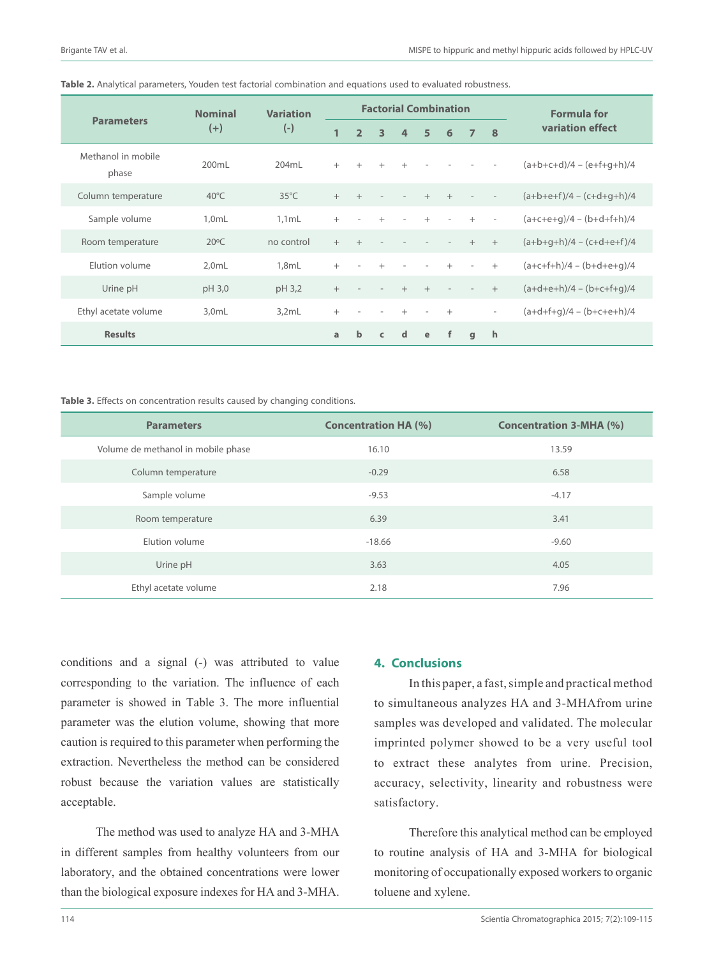|                             | <b>Nominal</b> | <b>Variation</b><br>$(-)$ | <b>Factorial Combination</b> |                |                          |                          |                |        |                |                          | <b>Formula for</b>          |  |
|-----------------------------|----------------|---------------------------|------------------------------|----------------|--------------------------|--------------------------|----------------|--------|----------------|--------------------------|-----------------------------|--|
| <b>Parameters</b>           | $(+)$          |                           | $\mathbf{1}$                 | $\overline{2}$ | 3                        | $\overline{a}$           | 5              | 6      | $\overline{7}$ | 8                        | variation effect            |  |
| Methanol in mobile<br>phase | 200mL          | 204mL                     | $^{+}$                       | $^{+}$         | $^{+}$                   | $+$                      | $\overline{a}$ |        |                |                          | $(a+b+c+d)/4 - (e+f+q+h)/4$ |  |
| Column temperature          | $40^{\circ}$ C | $35^{\circ}$ C            | $+$                          | $+$            | $\overline{\phantom{a}}$ | $\overline{\phantom{a}}$ | $+$            | $+$    |                |                          | $(a+b+e+f)/4 - (c+d+g+h)/4$ |  |
| Sample volume               | $1.0m$ L       | $1.1m$ L                  | $^{+}$                       |                | $^{+}$                   | $\overline{\phantom{a}}$ | $+$            |        | $+$            | $\overline{\phantom{a}}$ | $(a+c+e+q)/4 - (b+d+f+h)/4$ |  |
| Room temperature            | $20^{\circ}$ C | no control                | $+$                          | $+$            |                          |                          |                |        | $+$            | $+$                      | $(a+b+q+h)/4 - (c+d+e+f)/4$ |  |
| Elution volume              | $2.0m$ L       | 1.8mL                     | $^{+}$                       |                | $^{+}$                   |                          |                | $^{+}$ | ٠              | $^{+}$                   | $(a+c+f+h)/4 - (b+d+e+q)/4$ |  |
| Urine pH                    | pH 3,0         | pH 3,2                    | $^{+}$                       |                |                          | $+$                      | $+$            |        |                | $+$                      | $(a+d+e+h)/4 - (b+c+f+q)/4$ |  |
| Ethyl acetate volume        | $3.0m$ L       | 3.2mL                     | $^{+}$                       |                |                          | $^{+}$                   | $\overline{a}$ | $+$    |                | $\overline{\phantom{a}}$ | $(a+d+f+q)/4 - (b+c+e+h)/4$ |  |
| <b>Results</b>              |                |                           | a                            | $\mathbf b$    | $\epsilon$               | d                        | e              | f      | q              | h                        |                             |  |

#### **Table 2.** Analytical parameters, Youden test factorial combination and equations used to evaluated robustness.

Table 3. Effects on concentration results caused by changing conditions.

| <b>Parameters</b>                  | <b>Concentration HA (%)</b> | <b>Concentration 3-MHA (%)</b> |
|------------------------------------|-----------------------------|--------------------------------|
| Volume de methanol in mobile phase | 16.10                       | 13.59                          |
| Column temperature                 | $-0.29$                     | 6.58                           |
| Sample volume                      | $-9.53$                     | $-4.17$                        |
| Room temperature                   | 6.39                        | 3.41                           |
| Elution volume                     | $-18.66$                    | $-9.60$                        |
| Urine pH                           | 3.63                        | 4.05                           |
| Ethyl acetate volume               | 2.18                        | 7.96                           |

conditions and a signal (-) was attributed to value corresponding to the variation. The influence of each parameter is showed in Table 3. The more influential parameter was the elution volume, showing that more caution is required to this parameter when performing the extraction. Nevertheless the method can be considered robust because the variation values are statistically acceptable.

The method was used to analyze HA and 3-MHA in different samples from healthy volunteers from our laboratory, and the obtained concentrations were lower than the biological exposure indexes for HA and 3-MHA.

# **4. Conclusions**

In this paper, a fast, simple and practical method to simultaneous analyzes HA and 3-MHAfrom urine samples was developed and validated. The molecular imprinted polymer showed to be a very useful tool to extract these analytes from urine. Precision, accuracy, selectivity, linearity and robustness were satisfactory.

Therefore this analytical method can be employed to routine analysis of HA and 3-MHA for biological monitoring of occupationally exposed workers to organic toluene and xylene.